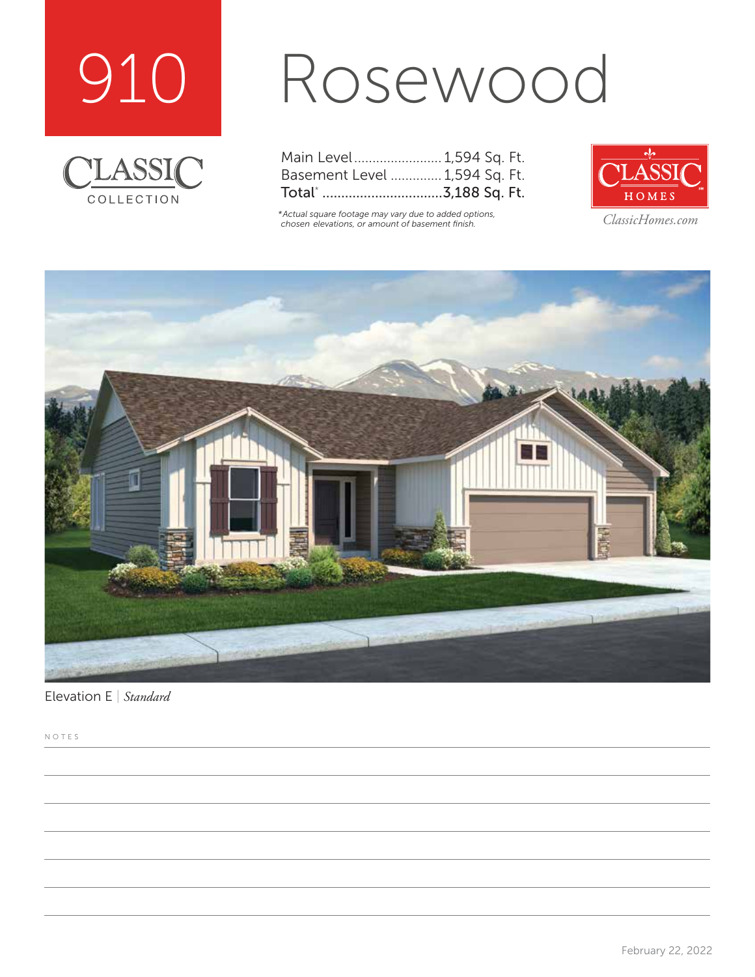



# Rosewood

| Main Level 1,594 Sq. Ft.      |  |  |
|-------------------------------|--|--|
| Basement Level  1,594 Sq. Ft. |  |  |
| Total* 3,188 Sq. Ft.          |  |  |

*\*Actual square footage may vary due to added options, chosen elevations, or amount of basement finish. ClassicHomes.com*





Elevation E | *Standard*

NOTES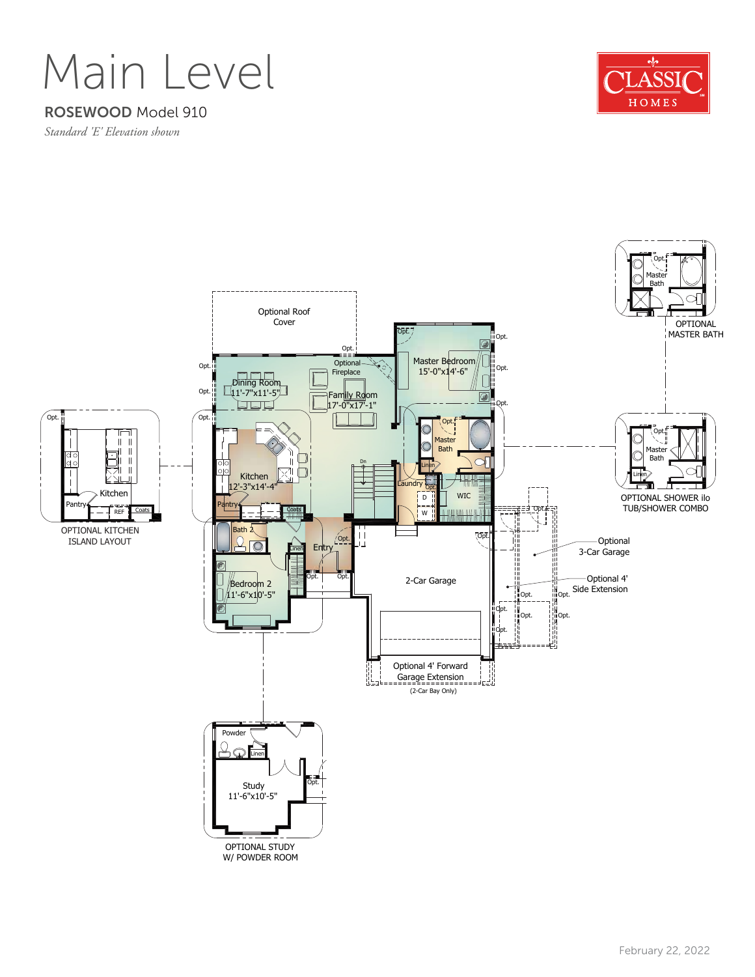

### ROSEWOOD Model 910

*Standard 'E' Elevation shown*



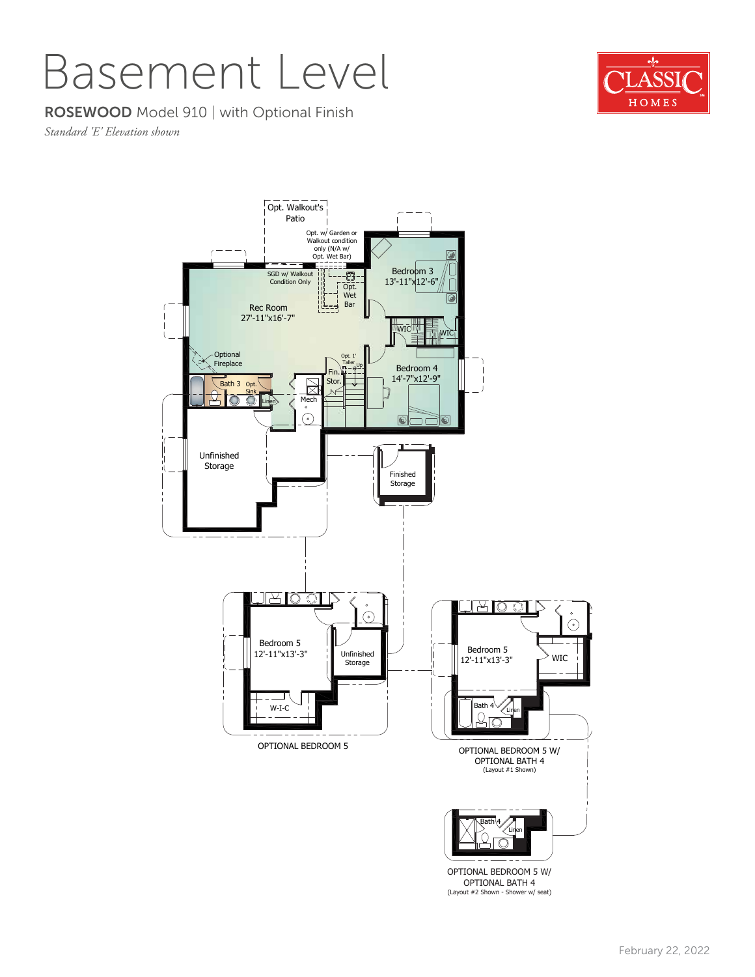## Basement Level

#### ROSEWOOD Model 910 | with Optional Finish

*Standard 'E' Elevation shown*



OPTIONAL BEDROOM 5 W/ OPTIONAL BATH 4 (Layout #2 Shown - Shower w/ seat)

![](_page_2_Picture_6.jpeg)